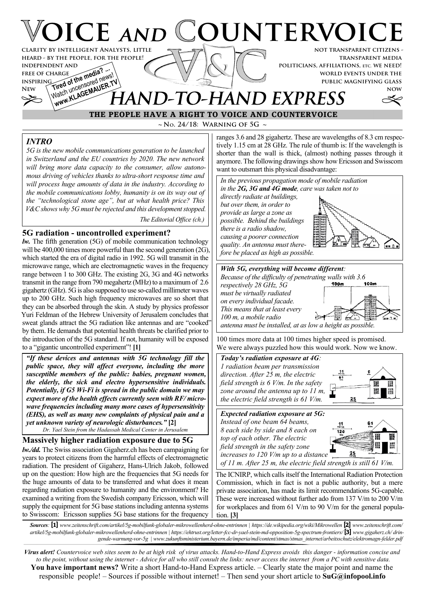## **VICE AND COUNTERVOIC not transparent citizens clarity by intelligent Analysts, little**

**transparent media politicians, affiliations, etc. we need! world events under the public magnifying glass**

**now**

# FREE OF CHARGE **the media?** ... WWW.KLAGEMAUER.TV **AND-TO-HAND EXPRESS**

**~ No. 24/18: Warning of 5G ~ THE PEOPLE HAVE A RIGHT TO VOICE AND COUNTERVOICE**

## *INTRO*

**free of charge inspiring**

*5G is the new mobile communications generation to be launched in Switzerland and the EU countries by 2020. The new network will bring more data capacity to the consumer, allow autonomous driving of vehicles thanks to ultra-short response time and will process huge amounts of data in the industry. According to the mobile communications lobby, humanity is on its way out of the "technological stone age", but at what health price? This V&C shows why 5G must be rejected and this development stopped.*

*The Editorial Office (ch.)*

## **5G radiation - uncontrolled experiment?**

**heard - by the people, for the people!**

**INDEPENDENT AND<br>FREE OF CHARGE<br>INSPIRING A of the media?** 

*lw.* The fifth generation (5G) of mobile communication technology will be 400,000 times more powerful than the second generation (2G), which started the era of digital radio in 1992. 5G will transmit in the microwave range, which are electromagnetic waves in the frequency range between 1 to 300 GHz. The existing 2G, 3G and 4G networks transmit in the range from 790 megahertz (MHz) to a maximum of 2.6 gigahertz (GHz). 5G is also supposed to use so-called millimeter waves up to 200 GHz. Such high frequency microwaves are so short that they can be absorbed through the skin. A study by physics professor Yuri Feldman of the Hebrew University of Jerusalem concludes that sweat glands attract the 5G radiation like antennas and are "cooked" by them. He demands that potential health threats be clarified prior to the introduction of the 5G standard. If not, humanity will be exposed to a "gigantic uncontrolled experiment"! **[1]**

*"If these devices and antennas with 5G technology fill the public space, they will affect everyone, including the more susceptible members of the public: babies, pregnant women, the elderly, the sick and electro hypersensitive individuals. Potentially, if G5 Wi-Fi is spread in the public domain we may expect more of the health effects currently seen with RF/ microwave frequencies including many more cases of hypersensitivity (EHS), as well as many new complaints of physical pain and a yet unknown variety of neurologic disturbances."* **[2]** *Dr. Yael Stein from the Hadassah Medical Center in Jerusalem*

### **Massively higher radiation exposure due to 5G**

*lw./dd.* The Swiss association Gigaherz.ch has been campaigning for years to protect citizens from the harmful effects of electromagnetic radiation. The president of Gigaherz, Hans-Ulrich Jakob, followed up on the question: How high are the frequencies that 5G needs for the huge amounts of data to be transferred and what does it mean regarding radiation exposure to humanity and the environment? He examined a writing from the Swedish company Ericsson, which will supply the equipment for 5G base stations including antenna systems to Swisscom: Ericsson supplies 5G base stations for the frequency ranges 3.6 and 28 gigahertz. These are wavelengths of 8.3 cm respectively 1.15 cm at 28 GHz. The rule of thumb is: If the wavelength is shorter than the wall is thick, (almost) nothing passes through it anymore. The following drawings show how Ericsson and Swisscom want to outsmart this physical disadvantage:



100 times more data at 100 times higher speed is promised. We were always puzzled how this would work. Now we know.



The ICNIRP, which calls itself the International Radiation Protection Commission, which in fact is not a public authority, but a mere private association, has made its limit recommendations 5G-capable. These were increased without further ado from 137 V/m to 200 V/m for workplaces and from 61 V/m to 90 V/m for the general population. **[3]**

*Sources:* **[1]** *www.zeitenschrift.com/artikel/5g-mobilfunk-globaler-mikrowellenherd-ohne-entrinnen | https://de.wikipedia.org/wiki/Mikrowellen* **[2]** *www.zeitenschrift.com/ artikel/5g-mobilfunk-globaler-mikrowellenherd-ohne-entrinnen | https://ehtrust.org/letter-fcc-dr-yael-stein-md-opposition-5g-spectrum-frontiers/* **[3]** *www.gigaherz.ch/ dringende-warnung-vor-5g | www.zukunftsministerium.bayern.de/imperia/md/content/stmas/stmas\_internet/arbeitsschutz/elektromagn-felder.pdf*

*Virus alert! Countervoice web sites seem to be at high risk of virus attacks. Hand-to-Hand Express avoids this danger - information concise and to the point, without using the internet - Advice for all who still consult the links: never access the internet from a PC with sensitive data.* **You have important news?** Write a short Hand-to-Hand Express article. – Clearly state the major point and name the responsible people! – Sources if possible without internet! – Then send your short article to **SuG@infopool.info**